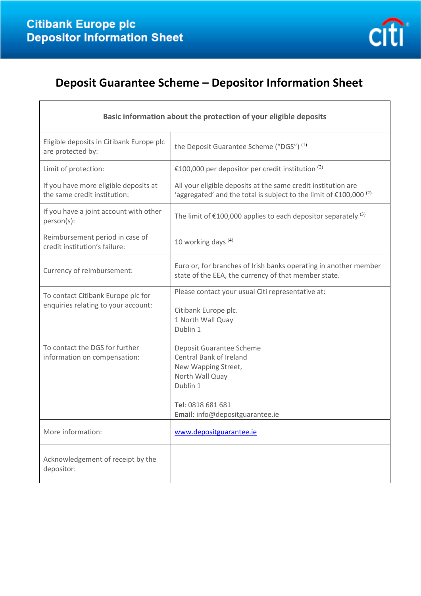

# **Deposit Guarantee Scheme – Depositor Information Sheet**

| Basic information about the protection of your eligible deposits          |                                                                                                                                                                                 |
|---------------------------------------------------------------------------|---------------------------------------------------------------------------------------------------------------------------------------------------------------------------------|
| Eligible deposits in Citibank Europe plc<br>are protected by:             | the Deposit Guarantee Scheme ("DGS") <sup>(1)</sup>                                                                                                                             |
| Limit of protection:                                                      | €100,000 per depositor per credit institution $(2)$                                                                                                                             |
| If you have more eligible deposits at<br>the same credit institution:     | All your eligible deposits at the same credit institution are<br>'aggregated' and the total is subject to the limit of $£100,000$ <sup>(2)</sup>                                |
| If you have a joint account with other<br>person(s):                      | The limit of $\epsilon$ 100,000 applies to each depositor separately <sup>(3)</sup>                                                                                             |
| Reimbursement period in case of<br>credit institution's failure:          | 10 working days $(4)$                                                                                                                                                           |
| Currency of reimbursement:                                                | Euro or, for branches of Irish banks operating in another member<br>state of the EEA, the currency of that member state.                                                        |
| To contact Citibank Europe plc for<br>enquiries relating to your account: | Please contact your usual Citi representative at:<br>Citibank Europe plc.<br>1 North Wall Quay<br>Dublin 1                                                                      |
| To contact the DGS for further<br>information on compensation:            | Deposit Guarantee Scheme<br><b>Central Bank of Ireland</b><br>New Wapping Street,<br>North Wall Quay<br>Dublin 1<br>Tel: 0818 681 681<br><b>Email:</b> info@depositguarantee.ie |
| More information:                                                         | www.depositguarantee.ie                                                                                                                                                         |
| Acknowledgement of receipt by the<br>depositor:                           |                                                                                                                                                                                 |